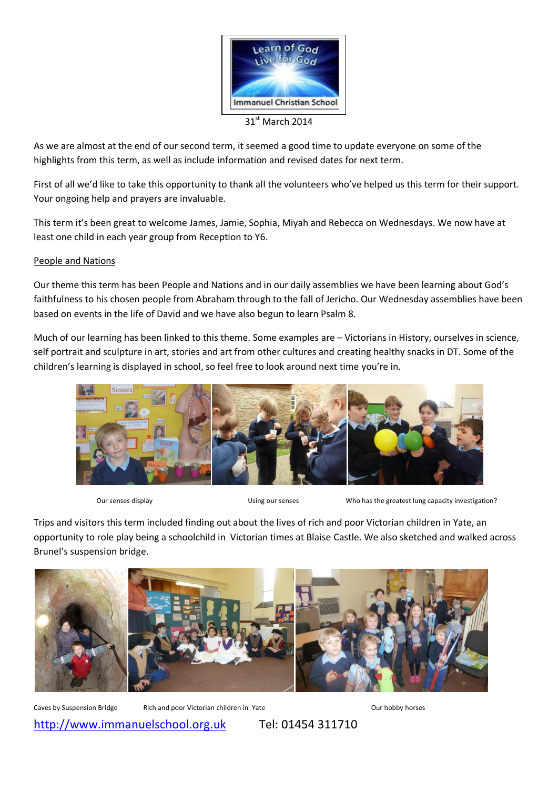

 $31^{st}$  March 2014

As we are almost at the end of our second term, it seemed a good time to update everyone on some of the highlights from this term, as well as include information and revised dates for next term.

First of all we'd like to take this opportunity to thank all the volunteers who've helped us this term for their support. Your ongoing help and prayers are invaluable.

This term it's been great to welcome James, Jamie, Sophia, Miyah and Rebecca on Wednesdays. We now have at least one child in each year group from Reception to Y6.

### People and Nations

Our theme this term has been People and Nations and in our daily assemblies we have been learning about God's faithfulness to his chosen people from Abraham through to the fall of Jericho. Our Wednesday assemblies have been based on events in the life of David and we have also begun to learn Psalm 8.

Much of our learning has been linked to this theme. Some examples are – Victorians in History, ourselves in science, self portrait and sculpture in art, stories and art from other cultures and creating healthy snacks in DT. Some of the children's learning is displayed in school, so feel free to look around next time you're in.



Our senses display Using our senses Who has the greatest lung capacity investigation?

Trips and visitors this term included finding out about the lives of rich and poor Victorian children in Yate, an opportunity to role play being a schoolchild in Victorian times at Blaise Castle. We also sketched and walked across Brunel's suspension bridge.



Caves by Suspension Bridge Rich and poor Victorian children in Yate Current Court hobby horses

http://www.immanuelschool.org.uk Tel: 01454 311710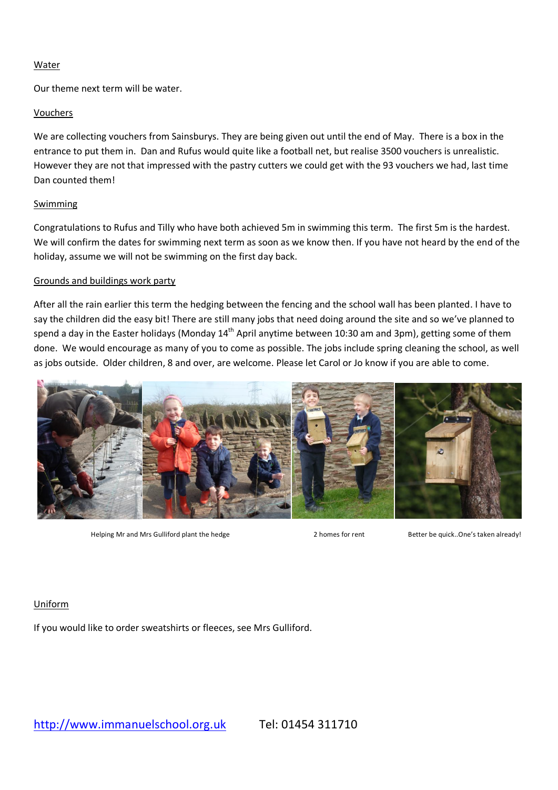### Water

Our theme next term will be water.

### Vouchers

We are collecting vouchers from Sainsburys. They are being given out until the end of May. There is a box in the entrance to put them in. Dan and Rufus would quite like a football net, but realise 3500 vouchers is unrealistic. However they are not that impressed with the pastry cutters we could get with the 93 vouchers we had, last time Dan counted them!

### Swimming

Congratulations to Rufus and Tilly who have both achieved 5m in swimming this term. The first 5m is the hardest. We will confirm the dates for swimming next term as soon as we know then. If you have not heard by the end of the holiday, assume we will not be swimming on the first day back.

#### Grounds and buildings work party

After all the rain earlier this term the hedging between the fencing and the school wall has been planted. I have to say the children did the easy bit! There are still many jobs that need doing around the site and so we've planned to spend a day in the Easter holidays (Monday 14<sup>th</sup> April anytime between 10:30 am and 3pm), getting some of them done. We would encourage as many of you to come as possible. The jobs include spring cleaning the school, as well as jobs outside. Older children, 8 and over, are welcome. Please let Carol or Jo know if you are able to come.



Helping Mr and Mrs Gulliford plant the hedge 2 homes for rent Better be quick..One's taken already!

## Uniform

If you would like to order sweatshirts or fleeces, see Mrs Gulliford.